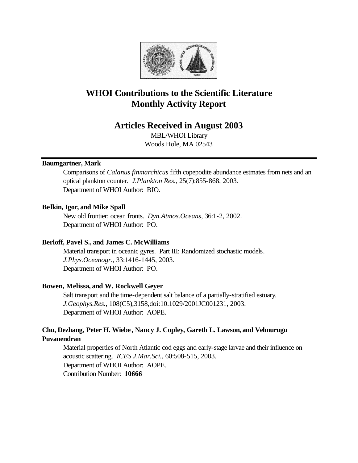

# **WHOI Contributions to the Scientific Literature Monthly Activity Report**

## **Articles Received in August 2003**

MBL/WHOI Library Woods Hole, MA 02543

## **Baumgartner, Mark**

Comparisons of *Calanus finmarchicus* fifth copepodite abundance estmates from nets and an optical plankton counter. *J.Plankton Res.*, 25(7):855-868, 2003. Department of WHOI Author: BIO.

## **Belkin, Igor, and Mike Spall**

New old frontier: ocean fronts. *Dyn.Atmos.Oceans*, 36:1-2, 2002. Department of WHOI Author: PO.

## **Berloff, Pavel S., and James C. McWilliams**

Material transport in oceanic gyres. Part III: Randomized stochastic models. *J.Phys.Oceanogr.*, 33:1416-1445, 2003. Department of WHOI Author: PO.

#### **Bowen, Melissa, and W. Rockwell Geyer**

Salt transport and the time-dependent salt balance of a partially-stratified estuary. *J.Geophys.Res.*, 108(C5),3158,doi:10.1029/2001JC001231, 2003. Department of WHOI Author: AOPE.

## **Chu, Dezhang, Peter H. Wiebe, Nancy J. Copley, Gareth L. Lawson, and Velmurugu Puvanendran**

Material properties of North Atlantic cod eggs and early-stage larvae and their influence on acoustic scattering. *ICES J.Mar.Sci.*, 60:508-515, 2003. Department of WHOI Author: AOPE. Contribution Number: **10666**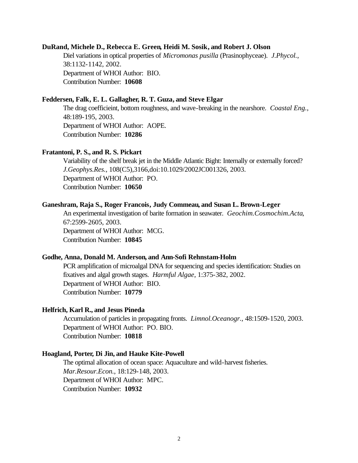#### **DuRand, Michele D., Rebecca E. Green, Heidi M. Sosik, and Robert J. Olson**

Diel variations in optical properties of *Micromonas pusilla* (Prasinophyceae). *J.Phycol.*, 38:1132-1142, 2002. Department of WHOI Author: BIO. Contribution Number: **10608**

## **Feddersen, Falk, E. L. Gallagher, R. T. Guza, and Steve Elgar**

The drag coefficieint, bottom roughness, and wave-breaking in the nearshore. *Coastal Eng.*, 48:189-195, 2003. Department of WHOI Author: AOPE. Contribution Number: **10286**

#### **Fratantoni, P. S., and R. S. Pickart**

Variability of the shelf break jet in the Middle Atlantic Bight: Internally or externally forced? *J.Geophys.Res.*, 108(C5),3166,doi:10.1029/2002JC001326, 2003. Department of WHOI Author: PO. Contribution Number: **10650**

#### **Ganeshram, Raja S., Roger Francois, Judy Commeau, and Susan L. Brown-Leger**

An experimental investigation of barite formation in seawater. *Geochim.Cosmochim.Acta*, 67:2599-2605, 2003. Department of WHOI Author: MCG. Contribution Number: **10845**

#### **Godhe, Anna, Donald M. Anderson, and Ann-Sofi Rehnstam-Holm**

PCR amplification of microalgal DNA for sequencing and species identification: Studies on fixatives and algal growth stages. *Harmful Algae*, 1:375-382, 2002. Department of WHOI Author: BIO. Contribution Number: **10779**

#### **Helfrich, Karl R., and Jesus Pineda**

Accumulation of particles in propagating fronts. *Limnol.Oceanogr.*, 48:1509-1520, 2003. Department of WHOI Author: PO. BIO. Contribution Number: **10818**

#### **Hoagland, Porter, Di Jin, and Hauke Kite-Powell**

The optimal allocation of ocean space: Aquaculture and wild-harvest fisheries. *Mar.Resour.Econ.*, 18:129-148, 2003. Department of WHOI Author: MPC. Contribution Number: **10932**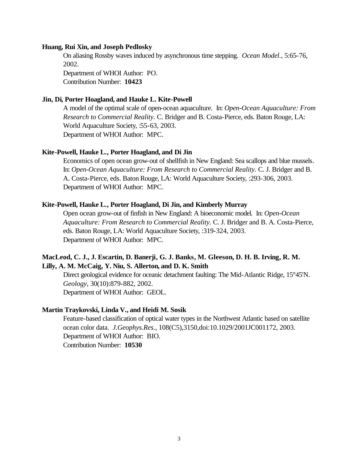#### **Huang, Rui Xin, and Joseph Pedlosky**

On aliasing Rossby waves induced by asynchronous time stepping. *Ocean Model.*, 5:65-76, 2002.

Department of WHOI Author: PO. Contribution Number: **10423**

## **Jin, Di, Porter Hoagland, and Hauke L. Kite-Powell**

A model of the optimal scale of open-ocean aquaculture. In: *Open-Ocean Aquaculture: From Research to Commercial Reality.* C. Bridger and B. Costa-Pierce, eds. Baton Rouge, LA: World Aquaculture Society, :55-63, 2003. Department of WHOI Author: MPC.

## **Kite-Powell, Hauke L., Porter Hoagland, and Di Jin**

Economics of open ocean grow-out of shellfish in New England: Sea scallops and blue mussels. In: *Open-Ocean Aquaculture: From Research to Commercial Reality.* C. J. Bridger and B. A. Costa-Pierce, eds. Baton Rouge, LA: World Aquaculture Society, :293-306, 2003. Department of WHOI Author: MPC.

#### **Kite-Powell, Hauke L., Porter Hoagland, Di Jin, and Kimberly Murray**

Open ocean grow-out of finfish in New England: A bioeconomic model. In: *Open-Ocean Aquaculture: From Research to Commercial Reality.* C. J. Bridger and B. A. Costa-Pierce, eds. Baton Rouge, LA: World Aquaculture Society, :319-324, 2003. Department of WHOI Author: MPC.

## **MacLeod, C. J., J. Escartin, D. Banerji, G. J. Banks, M. Gleeson, D. H. B. Irving, R. M. Lilly, A. M. McCaig, Y. Niu, S. Allerton, and D. K. Smith**

Direct geological evidence for oceanic detachment faulting: The Mid-Atlantic Ridge, 15°45'N. *Geology*, 30(10):879-882, 2002. Department of WHOI Author: GEOL.

## **Martin Traykovski, Linda V., and Heidi M. Sosik**

Feature-based classification of optical water types in the Northwest Atlantic based on satellite ocean color data. *J.Geophys.Res.*, 108(C5),3150,doi:10.1029/2001JC001172, 2003. Department of WHOI Author: BIO. Contribution Number: **10530**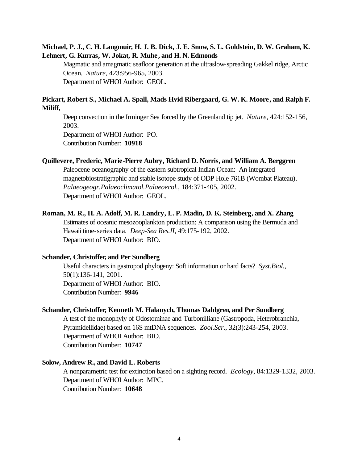## **Michael, P. J., C. H. Langmuir, H. J. B. Dick, J. E. Snow, S. L. Goldstein, D. W. Graham, K. Lehnert, G. Kurras, W. Jokat, R. Muhe, and H. N. Edmonds**

Magmatic and amagmatic seafloor generation at the ultraslow-spreading Gakkel ridge, Arctic Ocean. *Nature*, 423:956-965, 2003. Department of WHOI Author: GEOL.

## **Pickart, Robert S., Michael A. Spall, Mads Hvid Ribergaard, G. W. K. Moore, and Ralph F. Miliff,**

Deep convection in the Irminger Sea forced by the Greenland tip jet. *Nature*, 424:152-156, 2003.

Department of WHOI Author: PO. Contribution Number: **10918**

#### **Quillevere, Frederic, Marie-Pierre Aubry, Richard D. Norris, and William A. Berggren**

Paleocene oceanography of the eastern subtropical Indian Ocean: An integrated magnetobiostratigraphic and stable isotope study of ODP Hole 761B (Wombat Plateau). *Palaeogeogr.Palaeoclimatol.Palaeoecol.*, 184:371-405, 2002. Department of WHOI Author: GEOL.

#### **Roman, M. R., H. A. Adolf, M. R. Landry, L. P. Madin, D. K. Steinberg, and X. Zhang**

Estimates of oceanic mesozooplankton production: A comparison using the Bermuda and Hawaii time-series data. *Deep-Sea Res.II*, 49:175-192, 2002. Department of WHOI Author: BIO.

#### **Schander, Christoffer, and Per Sundberg**

Useful characters in gastropod phylogeny: Soft information or hard facts? *Syst.Biol.*, 50(1):136-141, 2001. Department of WHOI Author: BIO. Contribution Number: **9946**

#### **Schander, Christoffer, Kenneth M. Halanych, Thomas Dahlgren, and Per Sundberg**

A test of the monophyly of Odostominae and Turbonilliane (Gastropoda, Heterobranchia, Pyramidellidae) based on 16S mtDNA sequences. *Zool.Scr.*, 32(3):243-254, 2003. Department of WHOI Author: BIO. Contribution Number: **10747**

#### **Solow, Andrew R., and David L. Roberts**

A nonparametric test for extinction based on a sighting record. *Ecology*, 84:1329-1332, 2003. Department of WHOI Author: MPC. Contribution Number: **10648**